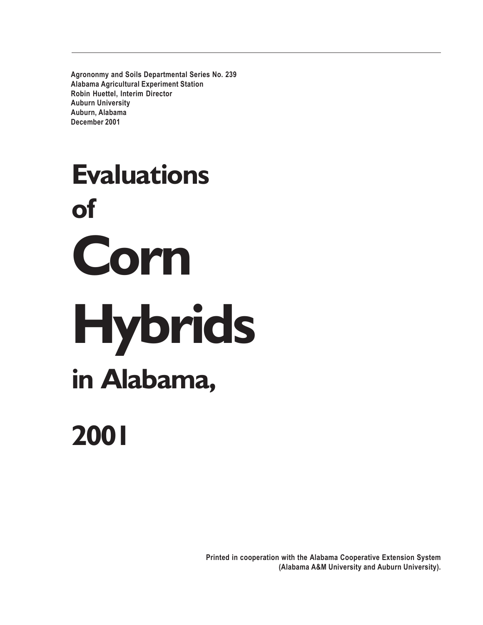**Agrononmy and Soils Departmental Series No. 239 Alabama Agricultural Experiment Station Robin Huettel, Interim Director Auburn University Auburn, Alabama December 2001**

# **Evaluations of Corn Hybrids in Alabama,**

# **2001**

**Printed in cooperation with the Alabama Cooperative Extension System (Alabama A&M University and Auburn University).**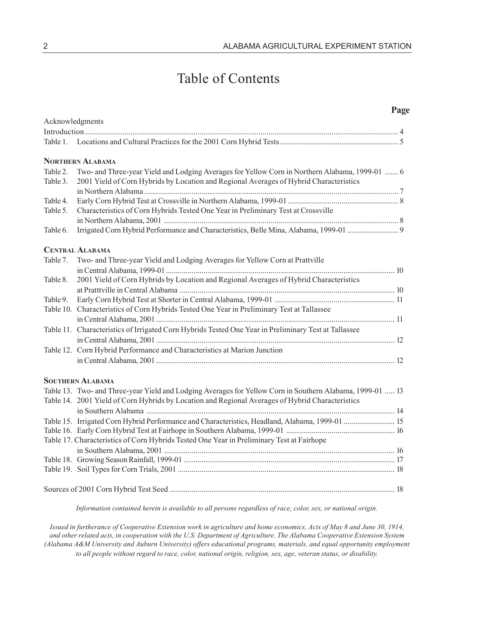# Table of Contents

|                      |                                                                                                                                                                                          | Page |
|----------------------|------------------------------------------------------------------------------------------------------------------------------------------------------------------------------------------|------|
|                      | Acknowledgments                                                                                                                                                                          |      |
|                      |                                                                                                                                                                                          |      |
| Table 1.             |                                                                                                                                                                                          |      |
|                      | <b>NORTHERN ALABAMA</b>                                                                                                                                                                  |      |
| Table 2.<br>Table 3. | Two- and Three-year Yield and Lodging Averages for Yellow Corn in Northern Alabama, 1999-01  6<br>2001 Yield of Corn Hybrids by Location and Regional Averages of Hybrid Characteristics |      |
|                      |                                                                                                                                                                                          |      |
| Table 4.             |                                                                                                                                                                                          |      |
| Table 5.             | Characteristics of Corn Hybrids Tested One Year in Preliminary Test at Crossville                                                                                                        |      |
| Table 6.             |                                                                                                                                                                                          |      |
|                      |                                                                                                                                                                                          |      |
|                      | <b>CENTRAL ALABAMA</b>                                                                                                                                                                   |      |
| Table 7.             | Two- and Three-year Yield and Lodging Averages for Yellow Corn at Prattville                                                                                                             |      |
|                      |                                                                                                                                                                                          |      |
| Table 8.             | 2001 Yield of Corn Hybrids by Location and Regional Averages of Hybrid Characteristics                                                                                                   |      |
| Table 9.             |                                                                                                                                                                                          |      |
|                      | Table 10. Characteristics of Corn Hybrids Tested One Year in Preliminary Test at Tallassee                                                                                               |      |
|                      |                                                                                                                                                                                          |      |
|                      | Table 11. Characteristics of Irrigated Corn Hybrids Tested One Year in Preliminary Test at Tallassee                                                                                     |      |
|                      |                                                                                                                                                                                          |      |
|                      | Table 12. Corn Hybrid Performance and Characteristics at Marion Junction                                                                                                                 |      |
|                      |                                                                                                                                                                                          |      |
|                      |                                                                                                                                                                                          |      |
|                      | <b>SOUTHERN ALABAMA</b>                                                                                                                                                                  |      |
|                      | Table 13. Two- and Three-year Yield and Lodging Averages for Yellow Corn in Southern Alabama, 1999-01  13                                                                                |      |
|                      | Table 14. 2001 Yield of Corn Hybrids by Location and Regional Averages of Hybrid Characteristics                                                                                         |      |
|                      |                                                                                                                                                                                          |      |
|                      | Table 15. Irrigated Corn Hybrid Performance and Characteristics, Headland, Alabama, 1999-01  15                                                                                          |      |
|                      |                                                                                                                                                                                          |      |
|                      | Table 17. Characteristics of Corn Hybrids Tested One Year in Preliminary Test at Fairhope                                                                                                |      |
|                      |                                                                                                                                                                                          |      |
|                      |                                                                                                                                                                                          |      |
|                      |                                                                                                                                                                                          |      |
|                      |                                                                                                                                                                                          |      |

*Information contained herein is available to all persons regardless of race, color, sex, or national origin.*

*Issued in furtherance of Cooperative Extension work in agriculture and home economics, Acts of May 8 and June 30, 1914, and other related acts, in cooperation with the U.S. Department of Agriculture. The Alabama Cooperative Extension System (Alabama A&M University and Auburn University) offers educational programs, materials, and equal opportunity employment to all people without regard to race, color, national origin, religion, sex, age, veteran status, or disability.*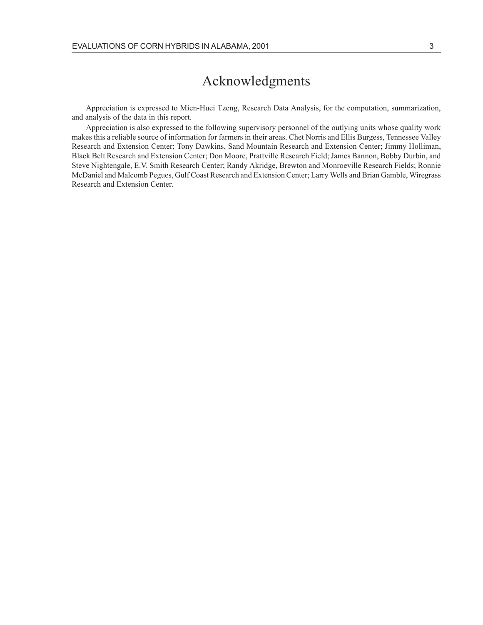## Acknowledgments

Appreciation is expressed to Mien-Huei Tzeng, Research Data Analysis, for the computation, summarization, and analysis of the data in this report.

Appreciation is also expressed to the following supervisory personnel of the outlying units whose quality work makes this a reliable source of information for farmers in their areas. Chet Norris and Ellis Burgess, Tennessee Valley Research and Extension Center; Tony Dawkins, Sand Mountain Research and Extension Center; Jimmy Holliman, Black Belt Research and Extension Center; Don Moore, Prattville Research Field; James Bannon, Bobby Durbin, and Steve Nightengale, E.V. Smith Research Center; Randy Akridge, Brewton and Monroeville Research Fields; Ronnie McDaniel and Malcomb Pegues, Gulf Coast Research and Extension Center; Larry Wells and Brian Gamble, Wiregrass Research and Extension Center.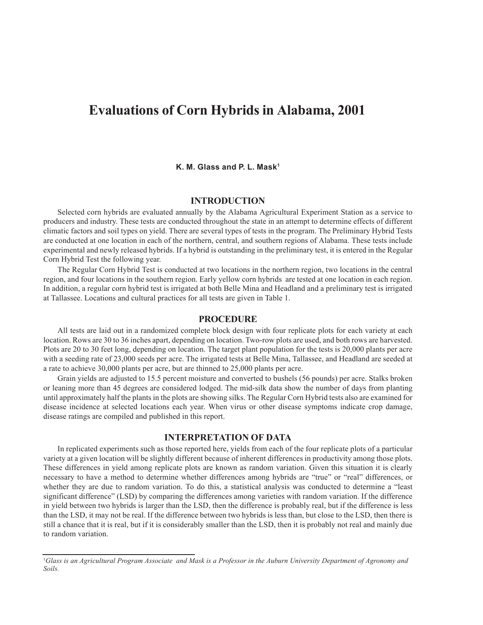### **Evaluations of Corn Hybrids in Alabama, 2001**

#### **K. M. Glass and P. L. Mask1**

#### **INTRODUCTION**

Selected corn hybrids are evaluated annually by the Alabama Agricultural Experiment Station as a service to producers and industry. These tests are conducted throughout the state in an attempt to determine effects of different climatic factors and soil types on yield. There are several types of tests in the program. The Preliminary Hybrid Tests are conducted at one location in each of the northern, central, and southern regions of Alabama. These tests include experimental and newly released hybrids. If a hybrid is outstanding in the preliminary test, it is entered in the Regular Corn Hybrid Test the following year.

The Regular Corn Hybrid Test is conducted at two locations in the northern region, two locations in the central region, and four locations in the southern region. Early yellow corn hybrids are tested at one location in each region. In addition, a regular corn hybrid test is irrigated at both Belle Mina and Headland and a preliminary test is irrigated at Tallassee. Locations and cultural practices for all tests are given in Table 1.

#### **PROCEDURE**

All tests are laid out in a randomized complete block design with four replicate plots for each variety at each location. Rows are 30 to 36 inches apart, depending on location. Two-row plots are used, and both rows are harvested. Plots are 20 to 30 feet long, depending on location. The target plant population for the tests is 20,000 plants per acre with a seeding rate of 23,000 seeds per acre. The irrigated tests at Belle Mina, Tallassee, and Headland are seeded at a rate to achieve 30,000 plants per acre, but are thinned to 25,000 plants per acre.

Grain yields are adjusted to 15.5 percent moisture and converted to bushels (56 pounds) per acre. Stalks broken or leaning more than 45 degrees are considered lodged. The mid-silk data show the number of days from planting until approximately half the plants in the plots are showing silks. The Regular Corn Hybrid tests also are examined for disease incidence at selected locations each year. When virus or other disease symptoms indicate crop damage, disease ratings are compiled and published in this report.

#### **INTERPRETATION OF DATA**

In replicated experiments such as those reported here, yields from each of the four replicate plots of a particular variety at a given location will be slightly different because of inherent differences in productivity among those plots. These differences in yield among replicate plots are known as random variation. Given this situation it is clearly necessary to have a method to determine whether differences among hybrids are "true" or "real" differences, or whether they are due to random variation. To do this, a statistical analysis was conducted to determine a "least significant difference" (LSD) by comparing the differences among varieties with random variation. If the difference in yield between two hybrids is larger than the LSD, then the difference is probably real, but if the difference is less than the LSD, it may not be real. If the difference between two hybrids is less than, but close to the LSD, then there is still a chance that it is real, but if it is considerably smaller than the LSD, then it is probably not real and mainly due to random variation.

<sup>1</sup> *Glass is an Agricultural Program Associate and Mask is a Professor in the Auburn University Department of Agronomy and Soils.*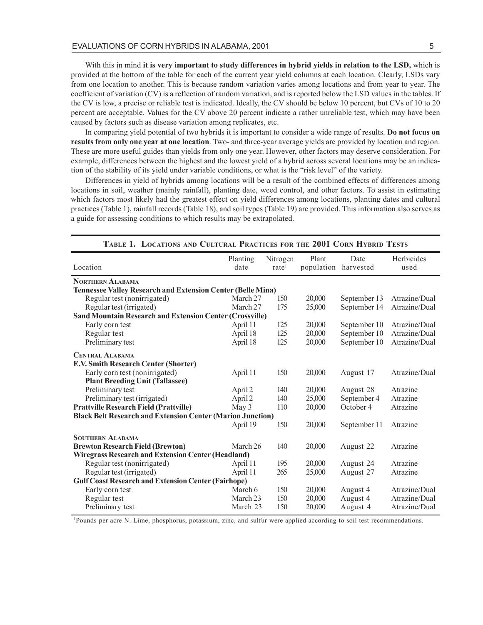With this in mind **it is very important to study differences in hybrid yields in relation to the LSD,** which is provided at the bottom of the table for each of the current year yield columns at each location. Clearly, LSDs vary from one location to another. This is because random variation varies among locations and from year to year. The coefficient of variation (CV) is a reflection of random variation, and is reported below the LSD values in the tables. If the CV is low, a precise or reliable test is indicated. Ideally, the CV should be below 10 percent, but CVs of 10 to 20 percent are acceptable. Values for the CV above 20 percent indicate a rather unreliable test, which may have been caused by factors such as disease variation among replicates, etc.

In comparing yield potential of two hybrids it is important to consider a wide range of results. **Do not focus on results from only one year at one location**. Two- and three-year average yields are provided by location and region. These are more useful guides than yields from only one year. However, other factors may deserve consideration. For example, differences between the highest and the lowest yield of a hybrid across several locations may be an indication of the stability of its yield under variable conditions, or what is the "risk level" of the variety.

Differences in yield of hybrids among locations will be a result of the combined effects of differences among locations in soil, weather (mainly rainfall), planting date, weed control, and other factors. To assist in estimating which factors most likely had the greatest effect on yield differences among locations, planting dates and cultural practices (Table 1), rainfall records (Table 18), and soil types (Table 19) are provided. This information also serves as a guide for assessing conditions to which results may be extrapolated.

| Location                                                           | Planting<br>date | Nitrogen<br>rate <sup>1</sup> | Plant<br>population | Date<br>harvested | Herbicides<br>used |
|--------------------------------------------------------------------|------------------|-------------------------------|---------------------|-------------------|--------------------|
| <b>NORTHERN ALABAMA</b>                                            |                  |                               |                     |                   |                    |
| <b>Tennessee Valley Research and Extension Center (Belle Mina)</b> |                  |                               |                     |                   |                    |
| Regular test (nonirrigated)                                        | March 27         | 150                           | 20,000              | September 13      | Atrazine/Dual      |
| Regular test (irrigated)                                           | March 27         | 175                           | 25,000              | September 14      | Atrazine/Dual      |
| <b>Sand Mountain Research and Extension Center (Crossville)</b>    |                  |                               |                     |                   |                    |
| Early corn test                                                    | April 11         | 125                           | 20,000              | September 10      | Atrazine/Dual      |
| Regular test                                                       | April 18         | 125                           | 20,000              | September 10      | Atrazine/Dual      |
| Preliminary test                                                   | April 18         | 125                           | 20,000              | September 10      | Atrazine/Dual      |
| <b>CENTRAL ALABAMA</b>                                             |                  |                               |                     |                   |                    |
| <b>E.V. Smith Research Center (Shorter)</b>                        |                  |                               |                     |                   |                    |
| Early corn test (nonirrigated)                                     | April 11         | 150                           | 20,000              | August 17         | Atrazine/Dual      |
| <b>Plant Breeding Unit (Tallassee)</b>                             |                  |                               |                     |                   |                    |
| Preliminary test                                                   | April 2          | 140                           | 20,000              | August 28         | Atrazine           |
| Preliminary test (irrigated)                                       | April 2          | 140                           | 25,000              | September 4       | Atrazine           |
| <b>Prattville Research Field (Prattville)</b>                      | May 3            | 110                           | 20,000              | October 4         | Atrazine           |
| <b>Black Belt Research and Extension Center (Marion Junction)</b>  |                  |                               |                     |                   |                    |
|                                                                    | April 19         | 150                           | 20,000              | September 11      | Atrazine           |
| <b>SOUTHERN ALABAMA</b>                                            |                  |                               |                     |                   |                    |
| <b>Brewton Research Field (Brewton)</b>                            | March 26         | 140                           | 20,000              | August 22         | Atrazine           |
| <b>Wiregrass Research and Extension Center (Headland)</b>          |                  |                               |                     |                   |                    |
| Regular test (nonirrigated)                                        | April 11         | 195                           | 20,000              | August 24         | Atrazine           |
| Regular test (irrigated)                                           | April 11         | 265                           | 25,000              | August 27         | Atrazine           |
| <b>Gulf Coast Research and Extension Center (Fairhope)</b>         |                  |                               |                     |                   |                    |
| Early corn test                                                    | March 6          | 150                           | 20,000              | August 4          | Atrazine/Dual      |
| Regular test                                                       | March 23         | 150                           | 20,000              | August 4          | Atrazine/Dual      |
| Preliminary test                                                   | March 23         | 150                           | 20,000              | August 4          | Atrazine/Dual      |

#### **TABLE 1. LOCATIONS AND CULTURAL PRACTICES FOR THE 2001 CORN HYBRID TESTS**

1 Pounds per acre N. Lime, phosphorus, potassium, zinc, and sulfur were applied according to soil test recommendations.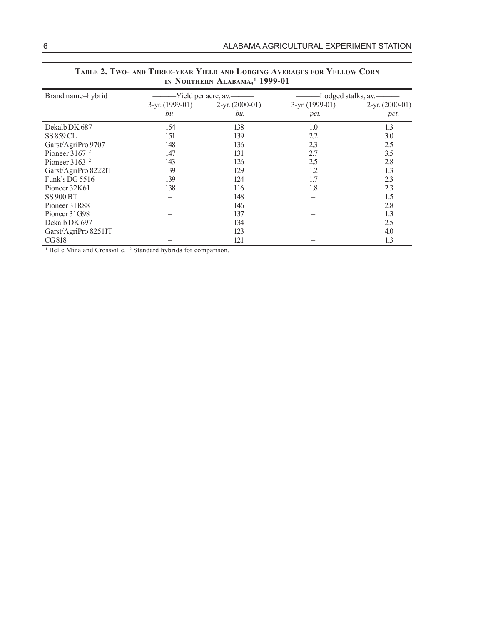| Brand name-hybrid    |                 | -Yield per acre, av.——— | -Lodged stalks, av. |                   |  |  |
|----------------------|-----------------|-------------------------|---------------------|-------------------|--|--|
|                      | 3-yr. (1999-01) | $2-yr. (2000-01)$       | $3-yr. (1999-01)$   | $2-yr. (2000-01)$ |  |  |
|                      | bu.             | bu.                     | pct.                | pct.              |  |  |
| Dekalb DK 687        | 154             | 138                     | 1.0                 | 1.3               |  |  |
| <b>SS 859 CL</b>     | 151             | 139                     | 2.2                 | 3.0               |  |  |
| Garst/AgriPro 9707   | 148             | 136                     | 2.3                 | 2.5               |  |  |
| Pioneer $31672$      | 147             | 131                     | 2.7                 | 3.5               |  |  |
| Pioneer $31632$      | 143             | 126                     | 2.5                 | 2.8               |  |  |
| Garst/AgriPro 8222IT | 139             | 129                     | 1.2                 | 1.3               |  |  |
| Funk's DG 5516       | 139             | 124                     | 1.7                 | 2.3               |  |  |
| Pioneer 32K61        | 138             | 116                     | 1.8                 | 2.3               |  |  |
| <b>SS 900 BT</b>     |                 | 148                     |                     | 1.5               |  |  |
| Pioneer 31R88        |                 | 146                     |                     | 2.8               |  |  |
| Pioneer 31G98        |                 | 137                     |                     | 1.3               |  |  |
| Dekalb DK 697        |                 | 134                     |                     | 2.5               |  |  |
| Garst/AgriPro 8251IT |                 | 123                     |                     | 4.0               |  |  |
| CG818                |                 | 121                     |                     | 1.3               |  |  |

| TABLE 2. TWO- AND THREE-YEAR YIELD AND LODGING AVERAGES FOR YELLOW CORN |  |
|-------------------------------------------------------------------------|--|
| IN NORTHERN ALABAMA, <sup>1</sup> 1999-01                               |  |

<sup>1</sup> Belle Mina and Crossville. <sup>2</sup> Standard hybrids for comparison.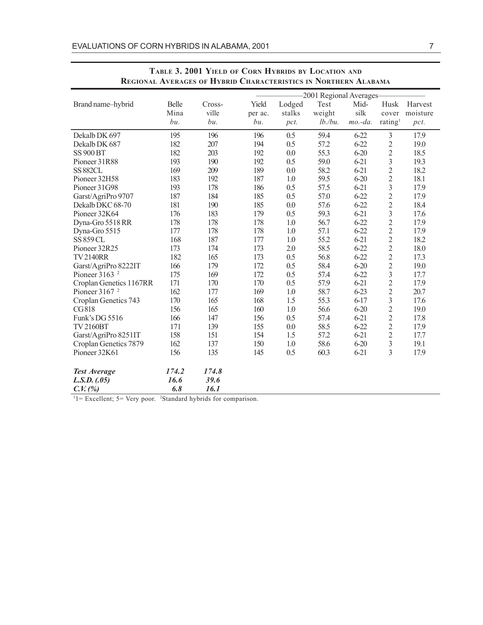|                                                                |                            |                |         |        | -2001 Regional Averages- |           |                         |          |
|----------------------------------------------------------------|----------------------------|----------------|---------|--------|--------------------------|-----------|-------------------------|----------|
| Brand name-hybrid                                              | Belle                      | Cross-         | Yield   | Lodged | Test                     | Mid-      | Husk                    | Harvest  |
|                                                                | Mina                       | ville          | per ac. | stalks | weight                   | silk      | cover                   | moisture |
|                                                                | bu.                        | bu.            | bu.     | pct.   | $lb.$ /bu.               | $mo.-da.$ | rating <sup>1</sup>     | pct.     |
| Dekalb DK 697                                                  | 195                        | 196            | 196     | 0.5    | 59.4                     | $6-22$    | $\mathfrak{Z}$          | 17.9     |
| Dekalb DK 687                                                  | 182                        | 207            | 194     | 0.5    | 57.2                     | $6 - 22$  | $\sqrt{2}$              | 19.0     |
| <b>SS 900 BT</b>                                               | 182                        | 203            | 192     | 0.0    | 55.3                     | $6 - 20$  | $\overline{c}$          | 18.5     |
| Pioneer 31R88                                                  | 193                        | 190            | 192     | 0.5    | 59.0                     | $6 - 21$  | $\overline{3}$          | 19.3     |
| <b>SS 882CL</b>                                                | 169                        | 209            | 189     | 0.0    | 58.2                     | $6 - 21$  | $\overline{2}$          | 18.2     |
| Pioneer 32H58                                                  | 183                        | 192            | 187     | 1.0    | 59.5                     | $6 - 20$  | $\overline{2}$          | 18.1     |
| Pioneer 31G98                                                  | 193                        | 178            | 186     | 0.5    | 57.5                     | $6 - 21$  | $\mathfrak{Z}$          | 17.9     |
| Garst/AgriPro 9707                                             | 187                        | 184            | 185     | 0.5    | 57.0                     | $6 - 22$  | $\overline{c}$          | 17.9     |
| Dekalb DKC 68-70                                               | 181                        | 190            | 185     | 0.0    | 57.6                     | $6 - 22$  | $\overline{c}$          | 18.4     |
| Pioneer 32K64                                                  | 176                        | 183            | 179     | 0.5    | 59.3                     | $6 - 21$  | $\overline{\mathbf{3}}$ | 17.6     |
| Dyna-Gro 5518 RR                                               | 178                        | 178            | 178     | 1.0    | 56.7                     | $6 - 22$  | $\overline{c}$          | 17.9     |
| Dyna-Gro 5515                                                  | 177                        | 178            | 178     | 1.0    | 57.1                     | $6 - 22$  | $\overline{c}$          | 17.9     |
| <b>SS 859 CL</b>                                               | 168                        | 187            | 177     | 1.0    | 55.2                     | $6 - 21$  | $\overline{c}$          | 18.2     |
| Pioneer 32R25                                                  | 173                        | 174            | 173     | 2.0    | 58.5                     | $6 - 22$  | $\overline{c}$          | 18.0     |
| <b>TV2140RR</b>                                                | 182                        | 165            | 173     | 0.5    | 56.8                     | $6 - 22$  | $\overline{c}$          | 17.3     |
| Garst/AgriPro 8222IT                                           | 166                        | 179            | 172     | 0.5    | 58.4                     | $6 - 20$  | $\overline{c}$          | 19.0     |
| Pioneer $3163$ <sup>2</sup>                                    | 175                        | 169            | 172     | 0.5    | 57.4                     | $6 - 22$  | $\overline{3}$          | 17.7     |
| Croplan Genetics 1167RR                                        | 171                        | 170            | 170     | 0.5    | 57.9                     | $6-21$    | $\overline{2}$          | 17.9     |
| Pioneer $31672$                                                | 162                        | 177            | 169     | 1.0    | 58.7                     | $6 - 23$  | $\overline{2}$          | 20.7     |
| Croplan Genetics 743                                           | 170                        | 165            | 168     | 1.5    | 55.3                     | $6-17$    | 3                       | 17.6     |
| CG818                                                          | 156                        | 165            | 160     | 1.0    | 56.6                     | $6 - 20$  | $\overline{c}$          | 19.0     |
| Funk's DG 5516                                                 | 166                        | 147            | 156     | 0.5    | 57.4                     | $6 - 21$  | $\overline{c}$          | 17.8     |
| <b>TV2160BT</b>                                                | 171                        | 139            | 155     | 0.0    | 58.5                     | $6 - 22$  | $\overline{2}$          | 17.9     |
| Garst/AgriPro 8251IT                                           | 158                        | 151            | 154     | 1.5    | 57.2                     | $6 - 21$  | $\overline{c}$          | 17.7     |
| Croplan Genetics 7879                                          | 162                        | 137            | 150     | 1.0    | 58.6                     | $6 - 20$  | $\mathfrak{Z}$          | 19.1     |
| Pioneer 32K61                                                  | 156                        | 135            | 145     | 0.5    | 60.3                     | $6 - 21$  | 3                       | 17.9     |
| <b>Test Average</b>                                            | 174.2                      | 174.8          |         |        |                          |           |                         |          |
| L.S.D. (0.05)                                                  | 16.6                       | 39.6           |         |        |                          |           |                         |          |
| $C. V.$ (%)<br>11<br>$\mathbf{r}$<br>$\mathbf{r}$ $\mathbf{r}$ | 6.8<br>201<br>$\mathbf{1}$ | 16.1<br>111111 | $\sim$  |        |                          |           |                         |          |

#### **TABLE 3. 2001 YIELD OF CORN HYBRIDS BY LOCATION AND REGIONAL AVERAGES OF HYBRID CHARACTERISTICS IN NORTHERN ALABAMA**

 $11 =$  Excellent; 5 = Very poor. <sup>2</sup>Standard hybrids for comparison.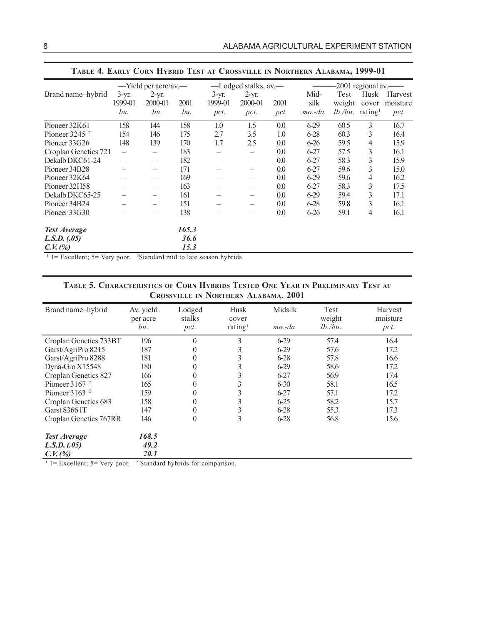|                                                                       |                          | -Yield per acre/av.-     |       |                    | -Lodged stalks, av.      |      |              |                | $-2001$ regional av.—          |                     |
|-----------------------------------------------------------------------|--------------------------|--------------------------|-------|--------------------|--------------------------|------|--------------|----------------|--------------------------------|---------------------|
| Brand name-hybrid                                                     | $3-yr$ .<br>1999-01      | $2-yr.$<br>2000-01       | 2001  | $3-yr.$<br>1999-01 | $2-yr.$<br>2000-01       | 2001 | Mid-<br>silk | Test<br>weight | Husk<br>cover                  | Harvest<br>moisture |
|                                                                       | bu.                      | bu.                      | bu.   | pct.               | pct.                     | pct. | $mo.-da.$    |                | $lb$ ./bu. rating <sup>1</sup> | pct.                |
| Pioneer 32K61                                                         | 158                      | 144                      | 158   | 1.0                | 1.5                      | 0.0  | $6-29$       | 60.5           | 3                              | 16.7                |
| Pioneer $3245$ $^2$                                                   | 154                      | 146                      | 175   | 2.7                | 3.5                      | 1.0  | $6 - 28$     | 60.3           | 3                              | 16.4                |
| Pioneer 33G26                                                         | 148                      | 139                      | 170   | 1.7                | 2.5                      | 0.0  | $6 - 26$     | 59.5           | 4                              | 15.9                |
| Croplan Genetics 721                                                  | $\overline{\phantom{0}}$ |                          | 183   |                    | $\overline{\phantom{0}}$ | 0.0  | $6 - 27$     | 57.5           | 3                              | 16.1                |
| Dekalb DKC61-24                                                       | $\overline{\phantom{0}}$ | —                        | 182   |                    | $\qquad \qquad -$        | 0.0  | $6 - 27$     | 58.3           | 3                              | 15.9                |
| Pioneer 34B28                                                         |                          |                          | 171   |                    | $\qquad \qquad -$        | 0.0  | $6 - 27$     | 59.6           | 3                              | 15.0                |
| Pioneer 32K64                                                         | —                        | $\overline{\phantom{0}}$ | 169   |                    | $\overline{\phantom{m}}$ | 0.0  | $6-29$       | 59.6           | 4                              | 16.2                |
| Pioneer 32H58                                                         |                          |                          | 163   |                    | $\overline{\phantom{0}}$ | 0.0  | $6 - 27$     | 58.3           | 3                              | 17.5                |
| Dekalb DKC65-25                                                       |                          |                          | 161   |                    | —                        | 0.0  | $6-29$       | 59.4           | 3                              | 17.1                |
| Pioneer 34B24                                                         |                          |                          | 151   |                    | $\overline{\phantom{0}}$ | 0.0  | $6 - 28$     | 59.8           | 3                              | 16.1                |
| Pioneer 33G30                                                         |                          |                          | 138   |                    |                          | 0.0  | $6 - 26$     | 59.1           | 4                              | 16.1                |
| <b>Test Average</b>                                                   |                          |                          | 165.3 |                    |                          |      |              |                |                                |                     |
| L.S.D. (05)                                                           |                          |                          | 36.6  |                    |                          |      |              |                |                                |                     |
| $C.V.$ (%)                                                            |                          |                          | 15.3  |                    |                          |      |              |                |                                |                     |
| $1 -$ Example $5 -$ Very near $2$ Standard mid to late season hybrids |                          |                          |       |                    |                          |      |              |                |                                |                     |

#### **TABLE 4. EARLY CORN HYBRID TEST AT CROSSVILLE IN NORTHERN ALABAMA, 1999-01**

1 1= Excellent; 5= Very poor. 2 Standard mid to late season hybrids.

#### **TABLE 5. CHARACTERISTICS OF CORN HYBRIDS TESTED ONE YEAR IN PRELIMINARY TEST AT CROSSVILLE IN NORTHERN ALABAMA, 2001**

| Brand name-hybrid      | Av. yield<br>per acre<br>bи. | Lodged<br>stalks<br>pct. | Husk<br>cover<br>rating <sup>1</sup> | Midsilk<br>$mo.-da.$ | Test<br>weight<br>$lb/bu$ . | Harvest<br>moisture<br>pct. |
|------------------------|------------------------------|--------------------------|--------------------------------------|----------------------|-----------------------------|-----------------------------|
| Croplan Genetics 733BT | 196                          | $\theta$                 | 3                                    | $6 - 29$             | 57.4                        | 16.4                        |
| Garst/AgriPro 8215     | 187                          | $\theta$                 | 3                                    | $6 - 29$             | 57.6                        | 17.2                        |
| Garst/AgriPro 8288     | 181                          | $\theta$                 | 3                                    | $6 - 28$             | 57.8                        | 16.6                        |
| Dyna-Gro $X15548$      | 180                          | $\theta$                 | 3                                    | $6 - 29$             | 58.6                        | 17.2                        |
| Croplan Genetics 827   | 166                          | $\theta$                 | 3                                    | $6 - 27$             | 56.9                        | 17.4                        |
| Pioneer $31672$        | 165                          | $\theta$                 | 3                                    | $6 - 30$             | 58.1                        | 16.5                        |
| Pioneer $31632$        | 159                          | $\theta$                 | 3                                    | $6 - 27$             | 57.1                        | 17.2                        |
| Croplan Genetics 683   | 158                          | $\theta$                 | 3                                    | $6 - 25$             | 58.2                        | 15.7                        |
| Garst 8366 IT          | 147                          | $\theta$                 | 3                                    | $6 - 28$             | 55.3                        | 17.3                        |
| Croplan Genetics 767RR | 146                          | $\mathbf{0}$             | 3                                    | $6 - 28$             | 56.8                        | 15.6                        |
| <b>Test Average</b>    | 168.5                        |                          |                                      |                      |                             |                             |
| L.S.D. (05)            | 49.2                         |                          |                                      |                      |                             |                             |
| $C. V.$ (%)            | <i>20.1</i>                  |                          |                                      |                      |                             |                             |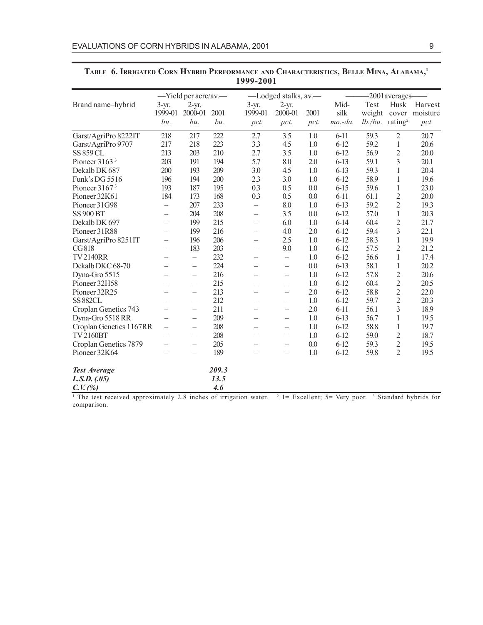|                           | -Yield per acre/av.-     |                          |       |                          | -Lodged stalks, av.      |      |           | -2001averages-                 |                |          |
|---------------------------|--------------------------|--------------------------|-------|--------------------------|--------------------------|------|-----------|--------------------------------|----------------|----------|
| Brand name-hybrid         | $3-yr$ .                 | $2-yr.$                  |       | $3 - yr$ .               | $2-yr.$                  |      | Mid-      | Test                           | Husk           | Harvest  |
|                           | 1999-01                  | 2000-01                  | 2001  | 1999-01                  | 2000-01                  | 2001 | silk      | weight                         | cover          | moisture |
|                           | bu.                      | bu.                      | bu.   | pct.                     | pct.                     | pct. | $mo.-da.$ | $lb$ ./bu. rating <sup>2</sup> |                | pct.     |
| Garst/AgriPro 8222IT      | 218                      | 217                      | 222   | 2.7                      | 3.5                      | 1.0  | $6-11$    | 59.3                           | $\mathbf{2}$   | 20.7     |
| Garst/AgriPro 9707        | 217                      | 218                      | 223   | 3.3                      | 4.5                      | 1.0  | $6-12$    | 59.2                           | 1              | 20.6     |
| <b>SS 859 CL</b>          | 213                      | 203                      | 210   | 2.7                      | 3.5                      | 1.0  | $6 - 12$  | 56.9                           | $\overline{c}$ | 20.0     |
| Pioneer $31633$           | 203                      | 191                      | 194   | 5.7                      | 8.0                      | 2.0  | $6-13$    | 59.1                           | 3              | 20.1     |
| Dekalb DK 687             | 200                      | 193                      | 209   | 3.0                      | 4.5                      | 1.0  | $6-13$    | 59.3                           | 1              | 20.4     |
| Funk's DG 5516            | 196                      | 194                      | 200   | 2.3                      | 3.0                      | 1.0  | $6-12$    | 58.9                           | 1              | 19.6     |
| Pioneer 3167 <sup>3</sup> | 193                      | 187                      | 195   | 0.3                      | 0.5                      | 0.0  | $6 - 15$  | 59.6                           | 1              | 23.0     |
| Pioneer 32K61             | 184                      | 173                      | 168   | 0.3                      | 0.5                      | 0.0  | $6-11$    | 61.1                           | $\sqrt{2}$     | 20.0     |
| Pioneer 31G98             |                          | 207                      | 233   | $\overline{\phantom{0}}$ | 8.0                      | 1.0  | $6-13$    | 59.2                           | $\overline{2}$ | 19.3     |
| <b>SS 900 BT</b>          | $\overline{\phantom{0}}$ | 204                      | 208   | $\overline{\phantom{0}}$ | 3.5                      | 0.0  | $6 - 12$  | 57.0                           | $\mathbf{1}$   | 20.3     |
| Dekalb DK 697             | —                        | 199                      | 215   | $\overline{\phantom{0}}$ | 6.0                      | 1.0  | $6 - 14$  | 60.4                           | $\overline{2}$ | 21.7     |
| Pioneer 31R88             | $\overline{\phantom{0}}$ | 199                      | 216   | $\overline{\phantom{0}}$ | 4.0                      | 2.0  | $6-12$    | 59.4                           | 3              | 22.1     |
| Garst/AgriPro 8251IT      | $\overline{\phantom{0}}$ | 196                      | 206   | $\overline{\phantom{0}}$ | 2.5                      | 1.0  | $6-12$    | 58.3                           | 1              | 19.9     |
| CG818                     | $\overline{\phantom{0}}$ | 183                      | 203   | $\overline{\phantom{0}}$ | 9.0                      | 1.0  | $6 - 12$  | 57.5                           | $\overline{c}$ | 21.2     |
| <b>TV2140RR</b>           | $\overline{\phantom{0}}$ | $\overline{\phantom{0}}$ | 232   | $\overline{\phantom{0}}$ | $\equiv$                 | 1.0  | $6 - 12$  | 56.6                           | 1              | 17.4     |
| Dekalb DKC 68-70          | $\overline{\phantom{0}}$ |                          | 224   | $\overline{\phantom{0}}$ | $\equiv$                 | 0.0  | $6 - 13$  | 58.1                           | 1              | 20.2     |
| Dyna-Gro 5515             | -                        | $\qquad \qquad -$        | 216   | $\overline{\phantom{0}}$ |                          | 1.0  | $6-12$    | 57.8                           | $\overline{c}$ | 20.6     |
| Pioneer 32H58             | -                        |                          | 215   | $\overline{\phantom{0}}$ | $\overline{\phantom{0}}$ | 1.0  | $6-12$    | 60.4                           | $\overline{c}$ | 20.5     |
| Pioneer 32R25             |                          | $\overline{\phantom{0}}$ | 213   | $\equiv$                 | $\overline{\phantom{0}}$ | 2.0  | $6 - 12$  | 58.8                           | $\overline{c}$ | 22.0     |
| <b>SS 882CL</b>           | $\overline{\phantom{0}}$ | $\overline{\phantom{0}}$ | 212   | $\overline{\phantom{0}}$ |                          | 1.0  | $6 - 12$  | 59.7                           | $\overline{2}$ | 20.3     |
| Croplan Genetics 743      |                          |                          | 211   |                          |                          | 2.0  | $6-11$    | 56.1                           | 3              | 18.9     |
| Dyna-Gro 5518 RR          | —                        | $\qquad \qquad -$        | 209   | $\overline{\phantom{0}}$ | $\overline{\phantom{0}}$ | 1.0  | $6 - 13$  | 56.7                           | 1              | 19.5     |
| Croplan Genetics 1167RR   | —                        | $\overline{\phantom{m}}$ | 208   | $\overline{\phantom{0}}$ |                          | 1.0  | $6-12$    | 58.8                           | 1              | 19.7     |
| <b>TV2160BT</b>           |                          |                          | 208   | $\overline{\phantom{0}}$ |                          | 1.0  | $6 - 12$  | 59.0                           | $\overline{c}$ | 18.7     |
| Croplan Genetics 7879     |                          |                          | 205   |                          |                          | 0.0  | $6 - 12$  | 59.3                           | $\overline{c}$ | 19.5     |
| Pioneer 32K64             |                          |                          | 189   |                          | $\overline{\phantom{0}}$ | 1.0  | $6 - 12$  | 59.8                           | $\overline{2}$ | 19.5     |
| <b>Test Average</b>       |                          |                          | 209.3 |                          |                          |      |           |                                |                |          |
| L.S.D. (0.05)             |                          |                          | 13.5  |                          |                          |      |           |                                |                |          |
| C. V. (%)                 |                          |                          | 4.6   |                          |                          |      |           |                                |                |          |

#### **TABLE 6. IRRIGATED CORN HYBRID PERFORMANCE AND CHARACTERISTICS, BELLE MINA, ALABAMA, 1 1999-2001**

<sup>1</sup> The test received approximately 2.8 inches of irrigation water. <sup>2</sup> 1= Excellent; 5= Very poor. <sup>3</sup> Standard hybrids for comparison.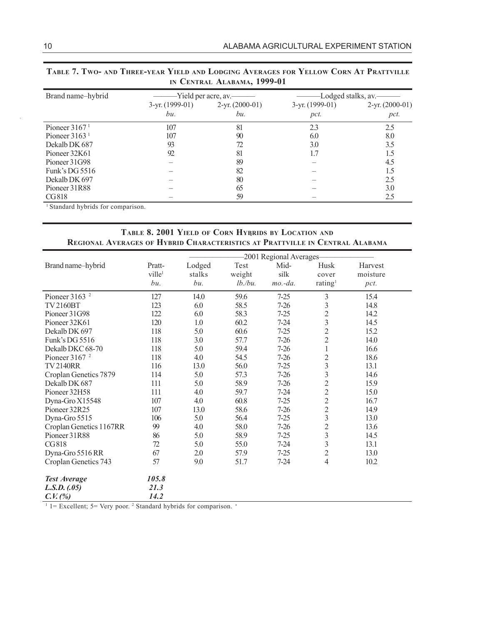| Brand name-hybrid |                   | -Yield per acre, av.—— | Lodged stalks, av. |                   |  |  |
|-------------------|-------------------|------------------------|--------------------|-------------------|--|--|
|                   | $3-yr. (1999-01)$ | $2-yr. (2000-01)$      | $3-yr. (1999-01)$  | $2-yr. (2000-01)$ |  |  |
|                   | bu.               | bu.                    | pct.               | pct.              |  |  |
| Pioneer $31671$   | 107               | 81                     | 2.3                | 2.5               |  |  |
| Pioneer $31631$   | 107               | 90                     | 6.0                | 8.0               |  |  |
| Dekalb DK 687     | 93                | 72                     | 3.0                | 3.5               |  |  |
| Pioneer 32K61     | 92                | 81                     |                    | 1.5               |  |  |
| Pioneer 31G98     |                   | 89                     |                    | 4.5               |  |  |
| Funk's DG $5516$  |                   | 82                     |                    | 1.5               |  |  |
| Dekalb DK 697     |                   | 80                     |                    | 2.5               |  |  |
| Pioneer 31R88     |                   | 65                     |                    | 3.0               |  |  |
| CG818             |                   | 59                     |                    | 2.5               |  |  |

| TABLE 7. TWO- AND THREE-YEAR YIELD AND LODGING AVERAGES FOR YELLOW CORN AT PRATTVILLE |  |
|---------------------------------------------------------------------------------------|--|
| IN CENTRAL ALABAMA, 1999-01                                                           |  |

1 Standard hybrids for comparison.

#### **TABLE 8. 2001 YIELD OF CORN HYBRIDS BY LOCATION AND REGIONAL AVERAGES OF HYBRID CHARACTERISTICS AT PRATTVILLE IN CENTRAL ALABAMA**

|                             |                    |        |            | -2001 Regional Averages- |                         |          |
|-----------------------------|--------------------|--------|------------|--------------------------|-------------------------|----------|
| Brand name-hybrid           | Pratt-             | Lodged | Test       | Mid-                     | Husk                    | Harvest  |
|                             | ville <sup>1</sup> | stalks | weight     | silk                     | cover                   | moisture |
|                             | bu.                | bu.    | $lb.$ /bu. | $mo.-da.$                | rating <sup>1</sup>     | pct.     |
| Pioneer $3163$ <sup>2</sup> | 127                | 14.0   | 59.6       | $7 - 25$                 | 3                       | 15.4     |
| <b>TV2160BT</b>             | 123                | 6.0    | 58.5       | $7 - 26$                 | 3                       | 14.8     |
| Pioneer 31G98               | 122                | 6.0    | 58.3       | $7 - 25$                 | $\overline{c}$          | 14.2     |
| Pioneer 32K61               | 120                | 1.0    | 60.2       | $7 - 24$                 | $\overline{3}$          | 14.5     |
| Dekalb DK 697               | 118                | 5.0    | 60.6       | $7 - 25$                 | $\overline{c}$          | 15.2     |
| Funk's DG 5516              | 118                | 3.0    | 57.7       | $7 - 26$                 | $\overline{2}$          | 14.0     |
| Dekalb DKC 68-70            | 118                | 5.0    | 59.4       | $7 - 26$                 | 1                       | 16.6     |
| Pioneer $31672$             | 118                | 4.0    | 54.5       | $7 - 26$                 | $\overline{c}$          | 18.6     |
| <b>TV2140RR</b>             | 116                | 13.0   | 56.0       | $7 - 25$                 | $\overline{3}$          | 13.1     |
| Croplan Genetics 7879       | 114                | 5.0    | 57.3       | $7 - 26$                 | $\overline{3}$          | 14.6     |
| Dekalb DK 687               | 111                | 5.0    | 58.9       | $7 - 26$                 | $\overline{2}$          | 15.9     |
| Pioneer 32H58               | 111                | 4.0    | 59.7       | $7 - 24$                 | $\overline{c}$          | 15.0     |
| Dyna-Gro X15548             | 107                | 4.0    | 60.8       | $7 - 25$                 | $\overline{c}$          | 16.7     |
| Pioneer 32R25               | 107                | 13.0   | 58.6       | $7 - 26$                 | $\overline{c}$          | 14.9     |
| Dyna-Gro 5515               | 106                | 5.0    | 56.4       | $7 - 25$                 | $\overline{3}$          | 13.0     |
| Croplan Genetics 1167RR     | 99                 | 4.0    | 58.0       | $7 - 26$                 | $\overline{2}$          | 13.6     |
| Pioneer 31R88               | 86                 | 5.0    | 58.9       | $7 - 25$                 | $\overline{\mathbf{3}}$ | 14.5     |
| <b>CG818</b>                | 72                 | 5.0    | 55.0       | $7 - 24$                 | 3                       | 13.1     |
| Dyna-Gro 5516 RR            | 67                 | 2.0    | 57.9       | $7 - 25$                 | $\overline{c}$          | 13.0     |
| Croplan Genetics 743        | 57                 | 9.0    | 51.7       | $7 - 24$                 | 4                       | 10.2     |
| <b>Test Average</b>         | 105.8              |        |            |                          |                         |          |
| L.S.D. (05)                 | 21.3               |        |            |                          |                         |          |
| C. V. (%)                   | 14.2               |        |            |                          |                         |          |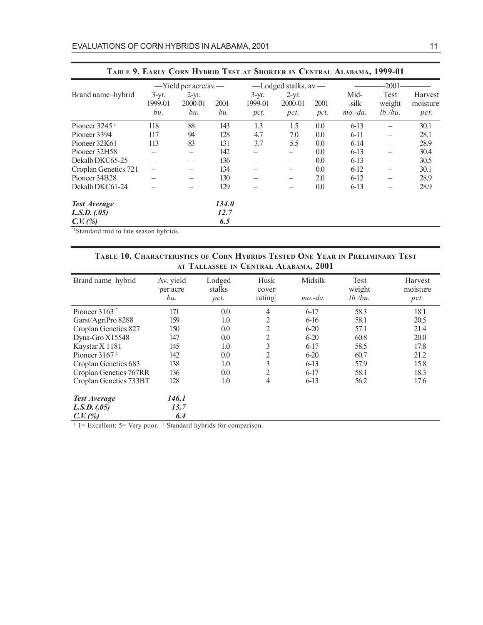|                      |                            | $-$ Yield per acre/av.—   |             |                            | -Lodged stalks, av.        |              |                            | -2001-                       |                             |
|----------------------|----------------------------|---------------------------|-------------|----------------------------|----------------------------|--------------|----------------------------|------------------------------|-----------------------------|
| Brand name-hybrid    | $3-yr$ .<br>1999-01<br>bu. | $2-yr.$<br>2000-01<br>bu. | 2001<br>bu. | $3-yr.$<br>1999-01<br>pct. | $2-yr.$<br>2000-01<br>pct. | 2001<br>pct. | Mid-<br>-silk<br>$mo.-da.$ | Test<br>weight<br>$lb.$ /bu. | Harvest<br>moisture<br>pct. |
| Pioneer $32451$      | 118                        | 88                        | 143         | 1.3                        | 1.5                        | 0.0          | $6-13$                     |                              | 30.1                        |
| Pioneer 3394         | 117                        | 94                        | 128         | 4.7                        | 7.0                        | 0.0          | $6-11$                     |                              | 28.1                        |
| Pioneer 32K61        | 113                        | 83                        | 131         | 3.7                        | 5.5                        | 0.0          | $6-14$                     |                              | 28.9                        |
| Pioneer 32H58        |                            | —                         | 142         |                            | $\overline{\phantom{m}}$   | 0.0          | $6-13$                     |                              | 30.4                        |
| Dekalb DKC65-25      |                            | $\overline{\phantom{0}}$  | 136         |                            | $\overline{\phantom{m}}$   | 0.0          | $6-13$                     |                              | 30.5                        |
| Croplan Genetics 721 |                            |                           | 134         |                            |                            | 0.0          | $6-12$                     |                              | 30.1                        |
| Pioneer 34B28        |                            |                           | 130         |                            |                            | 2.0          | $6-12$                     |                              | 28.9                        |
| Dekalb DKC61-24      |                            |                           | 129         |                            |                            | 0.0          | $6-13$                     |                              | 28.9                        |
| <b>Test Average</b>  |                            |                           | 134.0       |                            |                            |              |                            |                              |                             |
| L.S.D. (0.05)        |                            |                           | 12.7        |                            |                            |              |                            |                              |                             |
| $C. V.$ (%)          |                            |                           | 6.5         |                            |                            |              |                            |                              |                             |

1 Standard mid to late season hybrids.

#### **TABLE 10. CHARACTERISTICS OF CORN HYBRIDS TESTED ONE YEAR IN PRELIMINARY TEST AT TALLASSEE IN CENTRAL ALABAMA, 2001**

| Brand name-hybrid      | Av. yield<br>per acre<br>bu. | Lodged<br>stalks<br>pct. | Husk<br>cover<br>rating <sup>1</sup> | Midsilk<br>$mo.-da.$ | Test<br>weight<br>$lb.$ /bu. | Harvest<br>moisture<br>pct. |
|------------------------|------------------------------|--------------------------|--------------------------------------|----------------------|------------------------------|-----------------------------|
| Pioneer $31632$        | 171                          | 0.0                      | $\overline{4}$                       | $6-17$               | 58.3                         | 18.1                        |
| Garst/AgriPro 8288     | 159                          | 1.0                      | 2                                    | $6 - 16$             | 58.1                         | 20.5                        |
| Croplan Genetics 827   | 150                          | 0.0                      | 2                                    | $6 - 20$             | 57.1                         | 21.4                        |
| Dyna-Gro X15548        | 147                          | 0.0                      | 2                                    | $6 - 20$             | 60.8                         | 20.0                        |
| Kaystar X 1181         | 145                          | 1.0                      | 3                                    | $6-17$               | 58.5                         | 17.8                        |
| Pioneer $31672$        | 142                          | $0.0\,$                  | 2                                    | $6 - 20$             | 60.7                         | 21.2                        |
| Croplan Genetics 683   | 138                          | 1.0                      | 3                                    | $6-13$               | 57.9                         | 15.8                        |
| Croplan Genetics 767RR | 136                          | 0.0                      | 2                                    | $6-17$               | 58.1                         | 18.3                        |
| Croplan Genetics 733BT | 128                          | 1.0                      | 4                                    | $6-13$               | 56.2                         | 17.6                        |
| <b>Test Average</b>    | 146.1                        |                          |                                      |                      |                              |                             |
| L.S.D. (0.05)          | 13.7                         |                          |                                      |                      |                              |                             |
| C. V. (%)              | 6.4                          |                          |                                      |                      |                              |                             |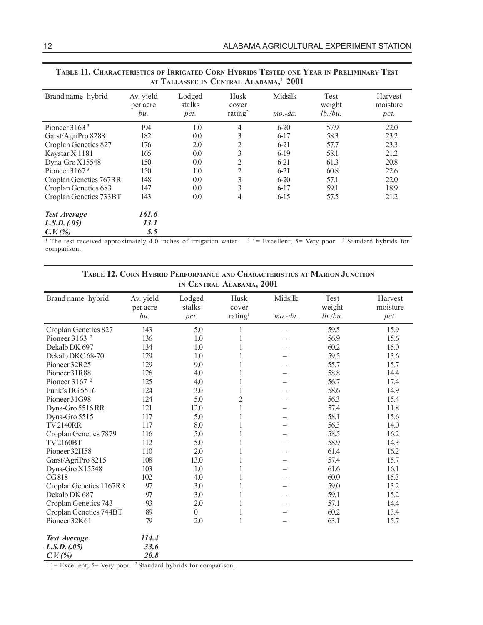|                        |                              | AI TALLASSEE IN CENTRAL ALADAMA, ZUUT |                                      |                      |                              |                             |
|------------------------|------------------------------|---------------------------------------|--------------------------------------|----------------------|------------------------------|-----------------------------|
| Brand name-hybrid      | Av. yield<br>per acre<br>bu. | Lodged<br>stalks<br>pct.              | Husk<br>cover<br>rating <sup>2</sup> | Midsilk<br>$mo.-da.$ | Test<br>weight<br>$lb.$ /bu. | Harvest<br>moisture<br>pct. |
| Pioneer $31633$        | 194                          | 1.0                                   | 4                                    | $6 - 20$             | 57.9                         | 22.0                        |
| Garst/AgriPro 8288     | 182                          | 0.0                                   | 3                                    | $6-17$               | 58.3                         | 23.2                        |
| Croplan Genetics 827   | 176                          | 2.0                                   | 2                                    | $6 - 21$             | 57.7                         | 23.3                        |
| Kaystar X 1181         | 165                          | 0.0                                   | 3                                    | $6-19$               | 58.1                         | 21.2                        |
| Dyna-Gro X15548        | 150                          | 0.0                                   | 2                                    | $6 - 21$             | 61.3                         | 20.8                        |
| Pioneer $31673$        | 150                          | 1.0                                   | 2                                    | $6 - 21$             | 60.8                         | 22.6                        |
| Croplan Genetics 767RR | 148                          | 0.0                                   | 3                                    | $6 - 20$             | 57.1                         | 22.0                        |
| Croplan Genetics 683   | 147                          | 0.0                                   | 3                                    | $6-17$               | 59.1                         | 18.9                        |
| Croplan Genetics 733BT | 143                          | 0.0                                   | 4                                    | $6-15$               | 57.5                         | 21.2                        |
| <b>Test Average</b>    | 161.6                        |                                       |                                      |                      |                              |                             |
| L.S.D. (0.05)          | <i>13.1</i>                  |                                       |                                      |                      |                              |                             |
| C. V. (%)              | 5.5                          |                                       |                                      |                      |                              |                             |

#### **TABLE 11. CHARACTERISTICS OF IRRIGATED CORN HYBRIDS TESTED ONE YEAR IN PRELIMINARY TEST AT TALLASSEE IN CENTRAL ALABAMA, <sup>1</sup> 2001**

<sup>1</sup> The test received approximately 4.0 inches of irrigation water. <sup>2</sup> 1= Excellent; 5= Very poor. <sup>3</sup> Standard hybrids for comparison.

| TABLE 12. CORN HYBRID PERFORMANCE AND CHARACTERISTICS AT MARION JUNCTION |
|--------------------------------------------------------------------------|
| IN CENTRAL ALABAMA, 2001                                                 |

| Brand name-hybrid           | Av. yield<br>per acre | Lodged<br>stalks | Husk<br>cover       | Midsilk   | Test<br>weight | Harvest<br>moisture |
|-----------------------------|-----------------------|------------------|---------------------|-----------|----------------|---------------------|
|                             | bu.                   | pct.             | rating <sup>1</sup> | $mo.-da.$ | $lb.$ /bu.     | pct.                |
| Croplan Genetics 827        | 143                   | 5.0              |                     |           | 59.5           | 15.9                |
| Pioneer $3163$ <sup>2</sup> | 136                   | 1.0              |                     |           | 56.9           | 15.6                |
| Dekalb DK 697               | 134                   | 1.0              |                     |           | 60.2           | 15.0                |
| Dekalb DKC 68-70            | 129                   | 1.0              |                     |           | 59.5           | 13.6                |
| Pioneer 32R25               | 129                   | 9.0              |                     |           | 55.7           | 15.7                |
| Pioneer 31R88               | 126                   | 4.0              |                     |           | 58.8           | 14.4                |
| Pioneer $31672$             | 125                   | 4.0              |                     |           | 56.7           | 17.4                |
| Funk's DG 5516              | 124                   | 3.0              | 1                   |           | 58.6           | 14.9                |
| Pioneer 31G98               | 124                   | 5.0              | $\overline{c}$      |           | 56.3           | 15.4                |
| Dyna-Gro 5516 RR            | 121                   | 12.0             | 1                   |           | 57.4           | 11.8                |
| Dyna-Gro 5515               | 117                   | 5.0              | 1                   |           | 58.1           | 15.6                |
| <b>TV2140RR</b>             | 117                   | 8.0              |                     |           | 56.3           | 14.0                |
| Croplan Genetics 7879       | 116                   | 5.0              |                     |           | 58.5           | 16.2                |
| <b>TV2160BT</b>             | 112                   | 5.0              |                     |           | 58.9           | 14.3                |
| Pioneer 32H58               | 110                   | $2.0\,$          |                     |           | 61.4           | 16.2                |
| Garst/AgriPro 8215          | 108                   | 13.0             | 1                   |           | 57.4           | 15.7                |
| Dyna-Gro X15548             | 103                   | 1.0              |                     |           | 61.6           | 16.1                |
| <b>CG818</b>                | 102                   | 4.0              |                     |           | 60.0           | 15.3                |
| Croplan Genetics 1167RR     | 97                    | 3.0              |                     |           | 59.0           | 13.2                |
| Dekalb DK 687               | 97                    | 3.0              |                     |           | 59.1           | 15.2                |
| Croplan Genetics 743        | 93                    | 2.0              |                     |           | 57.1           | 14.4                |
| Croplan Genetics 744BT      | 89                    | $\Omega$         | 1                   |           | 60.2           | 13.4                |
| Pioneer 32K61               | 79                    | 2.0              | 1                   |           | 63.1           | 15.7                |
| <b>Test Average</b>         | 114.4                 |                  |                     |           |                |                     |
| L.S.D. (0.05)               | 33.6                  |                  |                     |           |                |                     |
| C. V. (%)                   | 20.8                  |                  |                     |           |                |                     |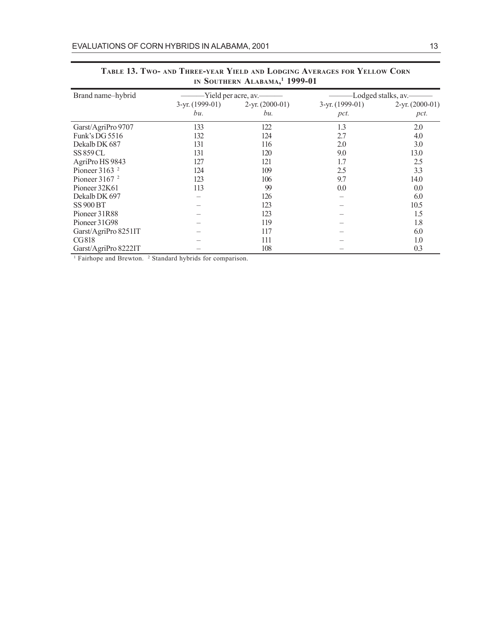| Brand name-hybrid           |                   | -Yield per acre, av.——— | -Lodged stalks, av. |                   |  |
|-----------------------------|-------------------|-------------------------|---------------------|-------------------|--|
|                             | $3-yr. (1999-01)$ | $2-yr. (2000-01)$       | 3-yr. (1999-01)     | $2-yr. (2000-01)$ |  |
|                             | bu.               | bu.                     | pct.                | pct.              |  |
| Garst/AgriPro 9707          | 133               | 122                     | 1.3                 | 2.0               |  |
| Funk's DG 5516              | 132               | 124                     | 2.7                 | 4.0               |  |
| Dekalb DK 687               | 131               | 116                     | 2.0                 | 3.0               |  |
| <b>SS 859 CL</b>            | 131               | 120                     | 9.0                 | 13.0              |  |
| AgriPro HS 9843             | 127               | 121                     | 1.7                 | 2.5               |  |
| Pioneer $3163$ <sup>2</sup> | 124               | 109                     | 2.5                 | 3.3               |  |
| Pioneer $31672$             | 123               | 106                     | 9.7                 | 14.0              |  |
| Pioneer 32K61               | 113               | 99                      | 0.0                 | 0.0               |  |
| Dekalb DK 697               |                   | 126                     |                     | 6.0               |  |
| <b>SS 900 BT</b>            |                   | 123                     |                     | 10.5              |  |
| Pioneer 31R88               |                   | 123                     |                     | 1.5               |  |
| Pioneer 31G98               |                   | 119                     |                     | 1.8               |  |
| Garst/AgriPro 8251IT        |                   | 117                     |                     | 6.0               |  |
| CG818                       |                   | 111                     |                     | 1.0               |  |
| Garst/AgriPro 8222IT        |                   | 108                     |                     | 0.3               |  |

#### **TABLE 13. TWO- AND THREE-YEAR YIELD AND LODGING AVERAGES FOR YELLOW CORN IN SOUTHERN ALABAMA, 1 1999-01**

<sup>1</sup> Fairhope and Brewton. <sup>2</sup> Standard hybrids for comparison.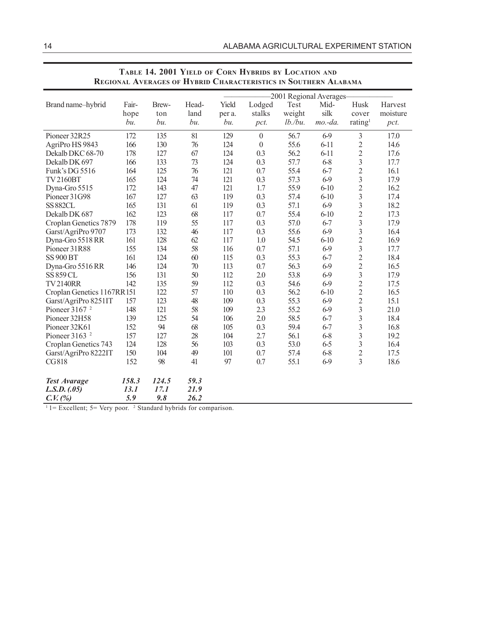|                             |       |               |              |        |                  |               | -2001 Regional Averages- |                     |          |
|-----------------------------|-------|---------------|--------------|--------|------------------|---------------|--------------------------|---------------------|----------|
| Brand name-hybrid           | Fair- | Brew-         | Head-        | Yield  | Lodged           | Test          | Mid-                     | Husk                | Harvest  |
|                             | hope  | ton           | land         | per a. | stalks           | weight        | silk                     | cover               | moisture |
|                             | bu.   | bu.           | bu.          | bu.    | pct.             | $lb.$ / $bu.$ | $mo$ -da.                | rating <sup>1</sup> | pct.     |
| Pioneer 32R25               | 172   | 135           | 81           | 129    | $\boldsymbol{0}$ | 56.7          | $6-9$                    | $\mathfrak{Z}$      | 17.0     |
| AgriPro HS 9843             | 166   | 130           | 76           | 124    | $\boldsymbol{0}$ | 55.6          | $6 - 11$                 | $\overline{c}$      | 14.6     |
| Dekalb DKC 68-70            | 178   | 127           | 67           | 124    | 0.3              | 56.2          | $6 - 11$                 | $\overline{c}$      | 17.6     |
| Dekalb DK 697               | 166   | 133           | 73           | 124    | 0.3              | 57.7          | $6 - 8$                  | 3                   | 17.7     |
| Funk's DG 5516              | 164   | 125           | 76           | 121    | 0.7              | 55.4          | $6 - 7$                  | $\overline{c}$      | 16.1     |
| <b>TV2160BT</b>             | 165   | 124           | 74           | 121    | 0.3              | 57.3          | $6-9$                    | $\overline{3}$      | 17.9     |
| Dyna-Gro 5515               | 172   | 143           | 47           | 121    | 1.7              | 55.9          | $6 - 10$                 | $\overline{c}$      | 16.2     |
| Pioneer 31G98               | 167   | 127           | 63           | 119    | 0.3              | 57.4          | $6 - 10$                 | $\overline{3}$      | 17.4     |
| <b>SS 882CL</b>             | 165   | 131           | 61           | 119    | 0.3              | 57.1          | $6-9$                    | 3                   | 18.2     |
| Dekalb DK 687               | 162   | 123           | 68           | 117    | 0.7              | 55.4          | $6 - 10$                 | $\overline{c}$      | 17.3     |
| Croplan Genetics 7879       | 178   | 119           | 55           | 117    | 0.3              | 57.0          | $6 - 7$                  | $\overline{3}$      | 17.9     |
| Garst/AgriPro 9707          | 173   | 132           | 46           | 117    | 0.3              | 55.6          | $6-9$                    | 3                   | 16.4     |
| Dyna-Gro 5518 RR            | 161   | 128           | 62           | 117    | 1.0              | 54.5          | $6 - 10$                 | $\overline{c}$      | 16.9     |
| Pioneer 31R88               | 155   | 134           | 58           | 116    | 0.7              | 57.1          | $6-9$                    | 3                   | 17.7     |
| <b>SS 900 BT</b>            | 161   | 124           | 60           | 115    | 0.3              | 55.3          | $6 - 7$                  | $\overline{c}$      | 18.4     |
| Dyna-Gro 5516 RR            | 146   | 124           | 70           | 113    | 0.7              | 56.3          | $6-9$                    | $\overline{c}$      | 16.5     |
| <b>SS 859 CL</b>            | 156   | 131           | 50           | 112    | 2.0              | 53.8          | $6-9$                    | 3                   | 17.9     |
| <b>TV2140RR</b>             | 142   | 135           | 59           | 112    | 0.3              | 54.6          | $6-9$                    | $\overline{c}$      | 17.5     |
| Croplan Genetics 1167RR151  |       | 122           | 57           | 110    | 0.3              | 56.2          | $6 - 10$                 | $\overline{2}$      | 16.5     |
| Garst/AgriPro 8251IT        | 157   | 123           | 48           | 109    | 0.3              | 55.3          | $6-9$                    | $\overline{c}$      | 15.1     |
| Pioneer $31672$             | 148   | 121           | 58           | 109    | 2.3              | 55.2          | $6-9$                    | 3                   | 21.0     |
| Pioneer 32H58               | 139   | 125           | 54           | 106    | 2.0              | 58.5          | $6 - 7$                  | 3                   | 18.4     |
| Pioneer 32K61               | 152   | 94            | 68           | 105    | 0.3              | 59.4          | $6 - 7$                  | 3                   | 16.8     |
| Pioneer $3163$ <sup>2</sup> | 157   | 127           | 28           | 104    | 2.7              | 56.1          | $6 - 8$                  | 3                   | 19.2     |
| Croplan Genetics 743        | 124   | 128           | 56           | 103    | 0.3              | 53.0          | $6 - 5$                  | 3                   | 16.4     |
| Garst/AgriPro 8222IT        | 150   | 104           | 49           | 101    | 0.7              | 57.4          | $6 - 8$                  | $\overline{c}$      | 17.5     |
| CG818                       | 152   | 98            | 41           | 97     | 0.7              | 55.1          | $6 - 9$                  | 3                   | 18.6     |
|                             |       |               |              |        |                  |               |                          |                     |          |
| <b>Test Avarage</b>         | 158.3 | 124.5<br>17.1 | 59.3<br>21.9 |        |                  |               |                          |                     |          |
| L.S.D. (0.05)               | 13.1  |               |              |        |                  |               |                          |                     |          |
| C. V. (%)                   | 5.9   | 9.8           | 26.2         |        |                  |               |                          |                     |          |

#### **TABLE 14. 2001 YIELD OF CORN HYBRIDS BY LOCATION AND REGIONAL AVERAGES OF HYBRID CHARACTERISTICS IN SOUTHERN ALABAMA**

 $11 =$  Excellent; 5 = Very poor. <sup>2</sup> Standard hybrids for comparison.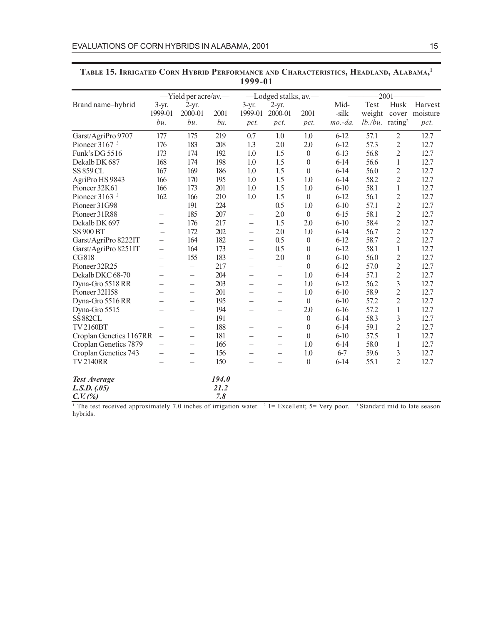|                             |                          |                          |       | 1 2 2 2 - 0 1            |                          |                  |           |                                |                         |                |
|-----------------------------|--------------------------|--------------------------|-------|--------------------------|--------------------------|------------------|-----------|--------------------------------|-------------------------|----------------|
|                             |                          | -Yield per acre/av.-     |       |                          | -Lodged stalks, av.      |                  |           |                                | $-2001-$                |                |
| Brand name-hybrid           | $3-yr$ .                 | $2-yr.$                  |       | $3-yr$ .                 | $2-yr.$                  |                  | Mid-      | Test                           | Husk                    | Harvest        |
|                             | 1999-01                  | 2000-01                  | 2001  | 1999-01                  | 2000-01                  | 2001             | -silk     | weight                         |                         | cover moisture |
|                             | bu.                      | bu.                      | bu.   | pct.                     | pct.                     | pct.             | $mo.-da.$ | $lb$ ./bu. rating <sup>2</sup> |                         | pct.           |
| Garst/AgriPro 9707          | 177                      | 175                      | 219   | 0.7                      | 1.0                      | 1.0              | $6-12$    | 57.1                           | $\mathfrak{2}$          | 12.7           |
| Pioneer $31673$             | 176                      | 183                      | 208   | 1.3                      | 2.0                      | 2.0              | $6 - 12$  | 57.3                           | $\mathfrak{2}$          | 12.7           |
| Funk's DG 5516              | 173                      | 174                      | 192   | 1.0                      | 1.5                      | $\boldsymbol{0}$ | $6-13$    | 56.8                           | $\overline{2}$          | 12.7           |
| Dekalb DK 687               | 168                      | 174                      | 198   | 1.0                      | 1.5                      | $\theta$         | $6 - 14$  | 56.6                           | 1                       | 12.7           |
| <b>SS 859 CL</b>            | 167                      | 169                      | 186   | 1.0                      | 1.5                      | $\mathbf{0}$     | $6 - 14$  | 56.0                           | $\overline{c}$          | 12.7           |
| AgriPro HS 9843             | 166                      | 170                      | 195   | 1.0                      | 1.5                      | 1.0              | $6 - 14$  | 58.2                           | $\overline{c}$          | 12.7           |
| Pioneer 32K61               | 166                      | 173                      | 201   | 1.0                      | 1.5                      | 1.0              | $6 - 10$  | 58.1                           | 1                       | 12.7           |
| Pioneer $3163$ <sup>3</sup> | 162                      | 166                      | 210   | 1.0                      | 1.5                      | $\theta$         | $6 - 12$  | 56.1                           | $\overline{c}$          | 12.7           |
| Pioneer 31G98               | $\overline{\phantom{0}}$ | 191                      | 224   | $\overline{\phantom{0}}$ | 0.5                      | 1.0              | $6 - 10$  | 57.1                           | $\overline{2}$          | 12.7           |
| Pioneer 31R88               | —                        | 185                      | 207   | $\overline{\phantom{0}}$ | 2.0                      | $\theta$         | $6 - 15$  | 58.1                           | $\overline{c}$          | 12.7           |
| Dekalb DK 697               | $\overline{\phantom{0}}$ | 176                      | 217   |                          | 1.5                      | 2.0              | $6 - 10$  | 58.4                           | $\overline{2}$          | 12.7           |
| <b>SS 900 BT</b>            |                          | 172                      | 202   |                          | 2.0                      | 1.0              | $6 - 14$  | 56.7                           | $\overline{2}$          | 12.7           |
| Garst/AgriPro 8222IT        | $\overline{\phantom{0}}$ | 164                      | 182   | $\overline{\phantom{0}}$ | 0.5                      | $\boldsymbol{0}$ | $6 - 12$  | 58.7                           | $\overline{2}$          | 12.7           |
| Garst/AgriPro 8251IT        | $\overline{\phantom{0}}$ | 164                      | 173   |                          | 0.5                      | $\boldsymbol{0}$ | $6 - 12$  | 58.1                           | 1                       | 12.7           |
| CG818                       | $\overline{\phantom{0}}$ | 155                      | 183   |                          | 2.0                      | $\mathbf{0}$     | $6 - 10$  | 56.0                           | $\mathfrak{2}$          | 12.7           |
| Pioneer 32R25               | $\overline{\phantom{0}}$ | $\overline{\phantom{0}}$ | 217   | $\overline{\phantom{0}}$ | $\qquad \qquad -$        | $\mathbf{0}$     | $6 - 12$  | 57.0                           | $\overline{c}$          | 12.7           |
| Dekalb DKC 68-70            | $\overline{\phantom{0}}$ | $\overline{\phantom{0}}$ | 204   |                          |                          | 1.0              | $6 - 14$  | 57.1                           | $\overline{2}$          | 12.7           |
| Dyna-Gro 5518 RR            | $\overline{\phantom{0}}$ | $\overline{\phantom{0}}$ | 203   | $\overline{\phantom{0}}$ | $\overline{\phantom{0}}$ | 1.0              | $6 - 12$  | 56.2                           | $\overline{\mathbf{3}}$ | 12.7           |
| Pioneer 32H58               |                          | $\overline{\phantom{0}}$ | 201   | $\overline{\phantom{0}}$ |                          | 1.0              | $6 - 10$  | 58.9                           | $\overline{c}$          | 12.7           |
| Dyna-Gro 5516 RR            |                          | $\overline{\phantom{0}}$ | 195   | $\equiv$                 | $\equiv$                 | $\boldsymbol{0}$ | $6 - 10$  | 57.2                           | $\overline{2}$          | 12.7           |
| Dyna-Gro 5515               |                          |                          | 194   |                          |                          | 2.0              | $6-16$    | 57.2                           | 1                       | 12.7           |
| <b>SS 882CL</b>             |                          |                          | 191   | $\equiv$                 |                          | $\theta$         | $6-14$    | 58.3                           | 3                       | 12.7           |
| <b>TV2160BT</b>             |                          |                          | 188   | $\equiv$                 | $\overline{\phantom{0}}$ | $\theta$         | $6-14$    | 59.1                           | $\overline{2}$          | 12.7           |
| Croplan Genetics 1167RR     | $\overline{\phantom{0}}$ |                          | 181   | $\equiv$                 |                          | $\theta$         | $6 - 10$  | 57.5                           | 1                       | 12.7           |
| Croplan Genetics 7879       |                          | $\overline{\phantom{0}}$ | 166   |                          |                          | 1.0              | $6 - 14$  | 58.0                           | 1                       | 12.7           |
| Croplan Genetics 743        |                          | —                        | 156   |                          |                          | 1.0              | $6 - 7$   | 59.6                           | 3                       | 12.7           |
| <b>TV2140RR</b>             |                          | —                        | 150   |                          | —                        | $\theta$         | $6-14$    | 55.1                           | $\overline{2}$          | 12.7           |
| <b>Test Average</b>         |                          |                          | 194.0 |                          |                          |                  |           |                                |                         |                |
| L.S.D. (0.05)               |                          |                          | 21.2  |                          |                          |                  |           |                                |                         |                |
| $C.V.$ (%)                  |                          |                          | 7.8   |                          |                          |                  |           |                                |                         |                |

#### **TABLE 15. IRRIGATED CORN HYBRID PERFORMANCE AND CHARACTERISTICS, HEADLAND, ALABAMA, 1 1999-01**

<sup>1</sup> The test received approximately 7.0 inches of irrigation water. <sup>2</sup> 1 = Excellent; 5 = Very poor. <sup>3</sup> Standard mid to late season hybrids.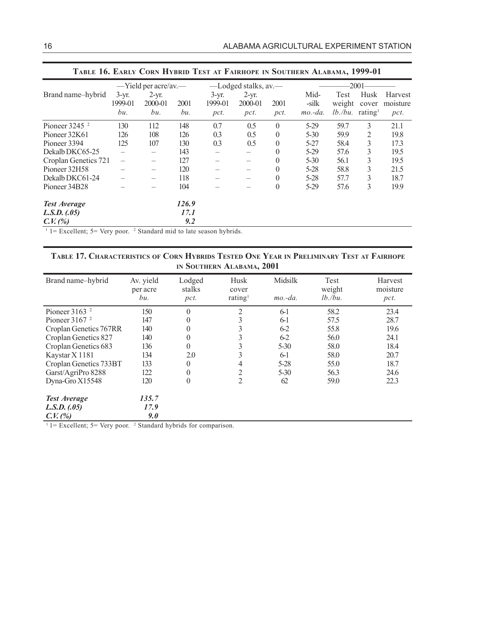|                             |                            | $-$ Yield per acre/av.—   |             |                            | -Lodged stalks, av.        |              |                            | $-2001$                                          |               |                             |
|-----------------------------|----------------------------|---------------------------|-------------|----------------------------|----------------------------|--------------|----------------------------|--------------------------------------------------|---------------|-----------------------------|
| Brand name-hybrid           | $3-yr$ .<br>1999-01<br>bu. | $2-yr.$<br>2000-01<br>bu. | 2001<br>bи. | $3-yr.$<br>1999-01<br>pct. | $2-yr.$<br>2000-01<br>pct. | 2001<br>pct. | Mid-<br>-silk<br>$mo.-da.$ | Test<br>weight<br>$lb$ ./bu. rating <sup>1</sup> | Husk<br>cover | Harvest<br>moisture<br>pct. |
| Pioneer $3245$ <sup>2</sup> | 130                        | 112                       | 148         | 0.7                        | 0.5                        | $\theta$     | $5-29$                     | 59.7                                             | 3             | 21.1                        |
| Pioneer 32K61               | 126                        | 108                       | 126         | 0.3                        | 0.5                        | $\theta$     | $5 - 30$                   | 59.9                                             | 2             | 19.8                        |
| Pioneer 3394                | 125                        | 107                       | 130         | 0.3                        | 0.5                        | $\theta$     | $5 - 27$                   | 58.4                                             | 3             | 17.3                        |
| Dekalb DKC65-25             |                            | —                         | 143         |                            |                            | $\theta$     | $5-29$                     | 57.6                                             | 3             | 19.5                        |
| Croplan Genetics 721        | $\overline{\phantom{0}}$   | —                         | 127         |                            |                            | $\theta$     | $5 - 30$                   | 56.1                                             | 3             | 19.5                        |
| Pioneer 32H58               | $\overline{\phantom{0}}$   | —                         | 120         |                            |                            | $\theta$     | $5 - 28$                   | 58.8                                             | 3             | 21.5                        |
| Dekalb DKC61-24             |                            | —                         | 118         |                            |                            | $\theta$     | $5 - 28$                   | 57.7                                             | 3             | 18.7                        |
| Pioneer 34B28               |                            |                           | 104         |                            |                            | $\theta$     | $5-29$                     | 57.6                                             | 3             | 19.9                        |
| <b>Test Average</b>         |                            |                           | 126.9       |                            |                            |              |                            |                                                  |               |                             |
| L.S.D. (05)                 |                            |                           | 17.1        |                            |                            |              |                            |                                                  |               |                             |
| C. V. (%)                   |                            |                           | 9.2         |                            |                            |              |                            |                                                  |               |                             |

#### **TABLE 16. EARLY CORN HYBRID TEST AT FAIRHOPE IN SOUTHERN ALABAMA, 1999-01**

 $1 =$  Excellent; 5 = Very poor. <sup>2</sup> Standard mid to late season hybrids.

#### **TABLE 17. CHARACTERISTICS OF CORN HYBRIDS TESTED ONE YEAR IN PRELIMINARY TEST AT FAIRHOPE IN SOUTHERN ALABAMA, 2001**

| Brand name-hybrid      | Av. yield<br>per acre<br>bu. | Lodged<br>stalks<br>pct. | Husk<br>cover<br>rating <sup>1</sup> | Midsilk<br>$mo.-da.$ | Test<br>weight<br>$lb$ ./bu. | Harvest<br>moisture<br>pct. |
|------------------------|------------------------------|--------------------------|--------------------------------------|----------------------|------------------------------|-----------------------------|
| Pioneer $31632$        | 150                          | $\theta$                 | 2                                    | $6-1$                | 58.2                         | 23.4                        |
| Pioneer $31672$        | 147                          | 0                        | 3                                    | $6-1$                | 57.5                         | 28.7                        |
| Croplan Genetics 767RR | 140                          | $\theta$                 | 3                                    | $6 - 2$              | 55.8                         | 19.6                        |
| Croplan Genetics 827   | 140                          | 0                        | 3                                    | $6 - 2$              | 56.0                         | 24.1                        |
| Croplan Genetics 683   | 136                          | 0                        | 3                                    | $5 - 30$             | 58.0                         | 18.4                        |
| Kaystar X 1181         | 134                          | 2.0                      | 3                                    | $6-1$                | 58.0                         | 20.7                        |
| Croplan Genetics 733BT | 133                          | 0                        | 4                                    | $5 - 28$             | 55.0                         | 18.7                        |
| Garst/AgriPro 8288     | 122                          | $\theta$                 | 2                                    | $5 - 30$             | 56.3                         | 24.6                        |
| Dyna-Gro X15548        | 120                          | $\theta$                 | $\overline{2}$                       | 62                   | 59.0                         | 22.3                        |
| <b>Test Average</b>    | 135.7                        |                          |                                      |                      |                              |                             |
| L.S.D. (05)            | 17.9                         |                          |                                      |                      |                              |                             |
| C. V. (%)              | 9.0                          |                          |                                      |                      |                              |                             |

 $1 =$  Excellent; 5 = Very poor. <sup>2</sup> Standard hybrids for comparison.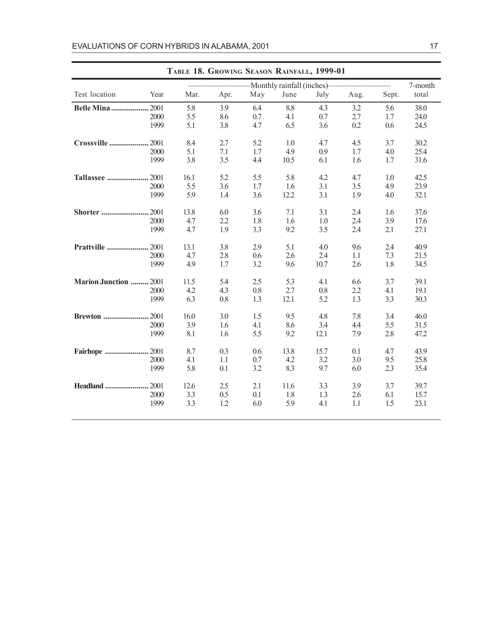|                         | TABLE 18. GROWING SEASON RAINFALL, 1999-01 |      |      |     |                             |      |      |       |         |  |
|-------------------------|--------------------------------------------|------|------|-----|-----------------------------|------|------|-------|---------|--|
|                         |                                            |      |      |     | -Monthly rainfall (inches)- |      |      |       | 7-month |  |
| Test location           | Year                                       | Mar. | Apr. | May | June                        | July | Aug. | Sept. | total   |  |
| Belle Mina              | .2001                                      | 5.8  | 3.9  | 6.4 | 8.8                         | 4.3  | 3.2  | 5.6   | 38.0    |  |
|                         | 2000                                       | 5.5  | 8.6  | 0.7 | 4.1                         | 0.7  | 2.7  | 1.7   | 24.0    |  |
|                         | 1999                                       | 5.1  | 3.8  | 4.7 | 6.5                         | 3.6  | 0.2  | 0.6   | 24.5    |  |
| Crossville              | .2001                                      | 8.4  | 2.7  | 5.2 | 1.0                         | 4.7  | 4.5  | 3.7   | 30.2    |  |
|                         | 2000                                       | 5.1  | 7.1  | 1.7 | 4.9                         | 0.9  | 1.7  | 4.0   | 25.4    |  |
|                         | 1999                                       | 3.8  | 3.5  | 4.4 | 10.5                        | 6.1  | 1.6  | 1.7   | 31.6    |  |
| <b>Tallassee </b>       | .2001                                      | 16.1 | 5.2  | 5.5 | 5.8                         | 4.2  | 4.7  | 1.0   | 42.5    |  |
|                         | 2000                                       | 5.5  | 3.6  | 1.7 | 1.6                         | 3.1  | 3.5  | 4.9   | 23.9    |  |
|                         | 1999                                       | 5.9  | 1.4  | 3.6 | 12.2                        | 3.1  | 1.9  | 4.0   | 32.1    |  |
| <b>Shorter </b>         | .2001                                      | 13.8 | 6.0  | 3.6 | 7.1                         | 3.1  | 2.4  | 1.6   | 37.6    |  |
|                         | 2000                                       | 4.7  | 2.2  | 1.8 | 1.6                         | 1.0  | 2.4  | 3.9   | 17.6    |  |
|                         | 1999                                       | 4.7  | 1.9  | 3.3 | 9.2                         | 3.5  | 2.4  | 2.1   | 27.1    |  |
| Prattville              | .2001                                      | 13.1 | 3.8  | 2.9 | 5.1                         | 4.0  | 9.6  | 2.4   | 40.9    |  |
|                         | 2000                                       | 4.7  | 2.8  | 0.6 | 2.6                         | 2.4  | 1.1  | 7.3   | 21.5    |  |
|                         | 1999                                       | 4.9  | 1.7  | 3.2 | 9.6                         | 10.7 | 2.6  | 1.8   | 34.5    |  |
| <b>Marion Junction </b> | .2001                                      | 11.5 | 5.4  | 2.5 | 5.3                         | 4.1  | 6.6  | 3.7   | 39.1    |  |
|                         | 2000                                       | 4.2  | 4.3  | 0.8 | 2.7                         | 0.8  | 2.2  | 4.1   | 19.1    |  |
|                         | 1999                                       | 6.3  | 0.8  | 1.3 | 12.1                        | 5.2  | 1.3  | 3.3   | 30.3    |  |
| <b>Brewton </b>         | .2001                                      | 16.0 | 3.0  | 1.5 | 9.5                         | 4.8  | 7.8  | 3.4   | 46.0    |  |
|                         | 2000                                       | 3.9  | 1.6  | 4.1 | 8.6                         | 3.4  | 4.4  | 5.5   | 31.5    |  |
|                         | 1999                                       | 8.1  | 1.6  | 5.5 | 9.2                         | 12.1 | 7.9  | 2.8   | 47.2    |  |
| <b>Fairhope </b>        | . 2001                                     | 8.7  | 0.3  | 0.6 | 13.8                        | 15.7 | 0.1  | 4.7   | 43.9    |  |
|                         | 2000                                       | 4.1  | 1.1  | 0.7 | 4.2                         | 3.2  | 3.0  | 9.5   | 25.8    |  |
|                         | 1999                                       | 5.8  | 0.1  | 3.2 | 8.3                         | 9.7  | 6.0  | 2.3   | 35.4    |  |
| <b>Headland </b>        | .2001                                      | 12.6 | 2.5  | 2.1 | 11.6                        | 3.3  | 3.9  | 3.7   | 39.7    |  |
|                         | 2000                                       | 3.3  | 0.5  | 0.1 | 1.8                         | 1.3  | 2.6  | 6.1   | 15.7    |  |
|                         | 1999                                       | 3.3  | 1.2  | 6.0 | 5.9                         | 4.1  | 1.1  | 1.5   | 23.1    |  |
|                         |                                            |      |      |     |                             |      |      |       |         |  |

**TABLE 18. GROWING SEASON RAINFALL, 1999-01**